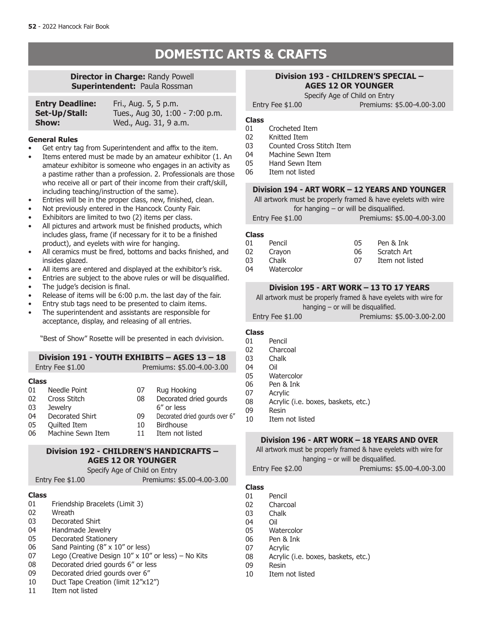# **DOMESTIC ARTS & CRAFTS**

### **Director in Charge:** Randy Powell **Superintendent: Paula Rossman**

| <b>Entry Deadline:</b> | Fri., Aug. 5, 5 p.m.            |
|------------------------|---------------------------------|
| Set-Up/Stall:          | Tues., Aug 30, 1:00 - 7:00 p.m. |
| Show:                  | Wed., Aug. 31, 9 a.m.           |

#### **General Rules**

- Get entry tag from Superintendent and affix to the item.
- Items entered must be made by an amateur exhibitor (1. An amateur exhibitor is someone who engages in an activity as a pastime rather than a profession. 2. Professionals are those who receive all or part of their income from their craft/skill, including teaching/instruction of the same).
- Entries will be in the proper class, new, finished, clean.
- Not previously entered in the Hancock County Fair.
- Exhibitors are limited to two (2) items per class.
- All pictures and artwork must be finished products, which includes glass, frame (if necessary for it to be a finished product), and eyelets with wire for hanging.
- All ceramics must be fired, bottoms and backs finished, and insides glazed.
- All items are entered and displayed at the exhibitor's risk.
- Entries are subject to the above rules or will be disqualified. The judge's decision is final.
- 
- Release of items will be 6:00 p.m. the last day of the fair.
- Entry stub tags need to be presented to claim items.
- The superintendent and assistants are responsible for acceptance, display, and releasing of all entries.

"Best of Show" Rosette will be presented in each dvivision.

|                                                  | Division 191 - YOUTH EXHIBITS - AGES 13 - 18<br>Entry Fee \$1.00                                       |                            | Premiums: \$5.00-4.00-3.00                                                                                                   |
|--------------------------------------------------|--------------------------------------------------------------------------------------------------------|----------------------------|------------------------------------------------------------------------------------------------------------------------------|
| <b>Class</b><br>01<br>02<br>03<br>04<br>05<br>06 | Needle Point<br>Cross Stitch<br><b>Jewelry</b><br>Decorated Shirt<br>Quilted Item<br>Machine Sewn Item | 07<br>08<br>09<br>10<br>11 | Rug Hooking<br>Decorated dried gourds<br>6" or less<br>Decorated dried gourds over 6"<br><b>Birdhouse</b><br>Item not listed |
|                                                  |                                                                                                        |                            |                                                                                                                              |

# **Division 192 - CHILDREN'S HANDICRAFTS – AGES 12 OR YOUNGER**

Specify Age of Child on Entry

Entry Fee \$1.00 Premiums: \$5.00-4.00-3.00

#### **Class**

- 01 Friendship Bracelets (Limit 3)
- 02 Wreath
- 03 Decorated Shirt
- 04 Handmade Jewelry<br>05 Decorated Stationer
- Decorated Stationery
- 06 Sand Painting (8" x 10" or less)
- 07 Lego (Creative Design  $10'' \times 10''$  or less) No Kits 08 Decorated dried gourds 6" or less
- Decorated dried gourds 6" or less
- 09 Decorated dried gourds over 6"
- 10 Duct Tape Creation (limit 12"x12")<br>11 Trem not listed
- Item not listed

#### **Division 193 - CHILDREN'S SPECIAL – AGES 12 OR YOUNGER**

Specify Age of Child on Entry

- **Class** Crocheted Item
- 02 Knitted Item
- 03 Counted Cross Stitch Item<br>04 Machine Sewn Item
- Machine Sewn Item
- 05 Hand Sewn Item
- 06 Item not listed

#### **Division 194 - ART WORK – 12 YEARS AND YOUNGER**

All artwork must be properly framed & have eyelets with wire for hanging – or will be disqualified.

| Entry Fee \$1.00 | Premiums: \$5.00-4.00-3.00 |
|------------------|----------------------------|
|------------------|----------------------------|

#### **Class**

| Pen & Ink       |
|-----------------|
| Scratch Art     |
| Item not listed |
|                 |
|                 |

### **Division 195 - ART WORK – 13 TO 17 YEARS**

All artwork must be properly framed & have eyelets with wire for hanging  $-$  or will be disqualified.

| Entry Fee \$1.00 |  | Premiums: \$5.00-3.00-2.00 |
|------------------|--|----------------------------|
|                  |  |                            |

# **Class**

- 01 Pencil<br>02 Charco
- 02 Charcoal<br>03 Chalk
	- Chalk
- 04 Oil<br>05 Wa
- 05 Watercolor<br>06 Pen & Ink
- 06 Pen & Ink<br>07 Acrylic
- 07 Acrylic<br>08 Acrylic
- 08 Acrylic (i.e. boxes, baskets, etc.)<br>09 Resin **Resin**
- 10 Item not listed

#### **Division 196 - ART WORK – 18 YEARS AND OVER**

All artwork must be properly framed & have eyelets with wire for hanging – or will be disqualified.

Entry Fee \$2.00 Premiums: \$5.00-4.00-3.00

#### **Class**

- 01 Pencil
- 02 Charcoal
- 03 Chalk
- 04 Oil
- 05 Watercolor
- 06 Pen & Ink
- 07 Acrylic
- 08 Acrylic (i.e. boxes, baskets, etc.)
- 09 Resin
- 10 Item not listed

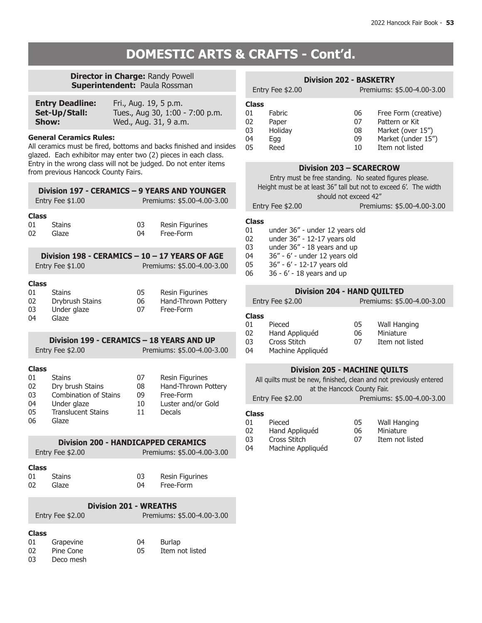#### **Director in Charge:** Randy Powell **Superintendent:** Paula Rossman

| <b>Entry Deadline:</b> | Fri., Aug. 19, 5 p.m.           |
|------------------------|---------------------------------|
| Set-Up/Stall:          | Tues., Aug 30, 1:00 - 7:00 p.m. |
| <b>Show:</b>           | Wed., Aug. 31, 9 a.m.           |

#### **General Ceramics Rules:**

All ceramics must be fired, bottoms and backs finished and insides glazed. Each exhibitor may enter two (2) pieces in each class. Entry in the wrong class will not be judged. Do not enter items from previous Hancock County Fairs.

| Division 197 - CERAMICS – 9 YEARS AND YOUNGER<br>Premiums: \$5.00-4.00-3.00<br>Entry Fee \$1.00  |                                                                                                                        |                            |                                                                                     |  |
|--------------------------------------------------------------------------------------------------|------------------------------------------------------------------------------------------------------------------------|----------------------------|-------------------------------------------------------------------------------------|--|
| <b>Class</b><br>01<br>02                                                                         | <b>Stains</b><br>Glaze                                                                                                 | 03<br>04                   | Resin Figurines<br>Free-Form                                                        |  |
| Division 198 - CERAMICS - 10 - 17 YEARS OF AGE<br>Premiums: \$5.00-4.00-3.00<br>Entry Fee \$1.00 |                                                                                                                        |                            |                                                                                     |  |
| <b>Class</b><br>01<br>02<br>03<br>04                                                             | <b>Stains</b><br>Drybrush Stains<br>Under glaze<br>Glaze                                                               | 05<br>06<br>07             | Resin Figurines<br>Hand-Thrown Pottery<br>Free-Form                                 |  |
| Division 199 - CERAMICS - 18 YEARS AND UP<br>Premiums: \$5.00-4.00-3.00<br>Entry Fee \$2.00      |                                                                                                                        |                            |                                                                                     |  |
| <b>Class</b><br>01<br>02<br>03<br>04<br>05<br>06                                                 | <b>Stains</b><br>Dry brush Stains<br><b>Combination of Stains</b><br>Under glaze<br><b>Translucent Stains</b><br>Glaze | 07<br>08<br>09<br>10<br>11 | Resin Figurines<br>Hand-Thrown Pottery<br>Free-Form<br>Luster and/or Gold<br>Decals |  |

### **Division 200 - HANDICAPPED CERAMICS** Entry Fee \$2.00 Premiums: \$5.00-4.00-3.00

#### **Class**

| 01 | Stains | 03  | Resin Figurines |
|----|--------|-----|-----------------|
| 02 | Glaze  | 04. | Free-Form       |

#### **Division 201 - WREATHS** Entry Fee \$2.00 Premiums: \$5.00-4.00-3.00

| <b>Class</b> |           |     |                 |
|--------------|-----------|-----|-----------------|
| 01           | Grapevine | 04  | Burlap          |
| 02           | Pine Cone | 05. | Item not listed |
| 03           | Deco mesh |     |                 |

|                                                                                                                                                                                 | Entry Fee \$2.00                                 | <b>Division 202 - BASKETRY</b> | Premiums: \$5.00-4.00-3.00                                                                                  |
|---------------------------------------------------------------------------------------------------------------------------------------------------------------------------------|--------------------------------------------------|--------------------------------|-------------------------------------------------------------------------------------------------------------|
| <b>Class</b><br>01<br>02<br>03<br>04<br>05                                                                                                                                      | <b>Fabric</b><br>Paper<br>Holiday<br>Egg<br>Reed | 06<br>07<br>08<br>09<br>10     | Free Form (creative)<br>Pattern or Kit<br>Market (over 15")<br>Market (under 15")<br><b>Item not listed</b> |
| Division 203 - SCARECROW<br>Entry must be free standing. No seated figures please.<br>Height must be at least 36" tall but not to exceed 6'. The width<br>should not exceed 42" |                                                  |                                |                                                                                                             |

Entry Fee \$2.00 Premiums: \$5.00-4.00-3.00

# **Class**

- under 36" under 12 years old
- 02 under 36" 12-17 years old<br>03 under 36" 18 years and up
- 03 under  $36'' 18$  years and up<br>04  $36'' 6' -$  under 12 years old
- 04 36" 6' under 12 years old<br>05 36" 6' 12-17 years old
- 36" 6' 12-17 years old
- 06 36 6' 18 years and up

### **Division 204 - HAND QUILTED**

Entry Fee \$2.00 Premiums: \$5.00-4.00-3.00

# **Class**

| 01 | Pieced            | 05 | Wall Hanging    |
|----|-------------------|----|-----------------|
| 02 | Hand Appliquéd    | 06 | Miniature       |
| 03 | Cross Stitch      | 07 | Item not listed |
| 04 | Machine Appliquéd |    |                 |
|    |                   |    |                 |

#### **Division 205 - MACHINE QUILTS**

All quilts must be new, finished, clean and not previously entered at the Hancock County Fair.

Entry Fee \$2.00 Premiums: \$5.00-4.00-3.00

# **Class**

| 01 | Pieced            | 05 | Wall Hanging    |
|----|-------------------|----|-----------------|
| 02 | Hand Appliquéd    | 06 | Miniature       |
| 03 | Cross Stitch      | 07 | Item not listed |
| 04 | Machine Appliquéd |    |                 |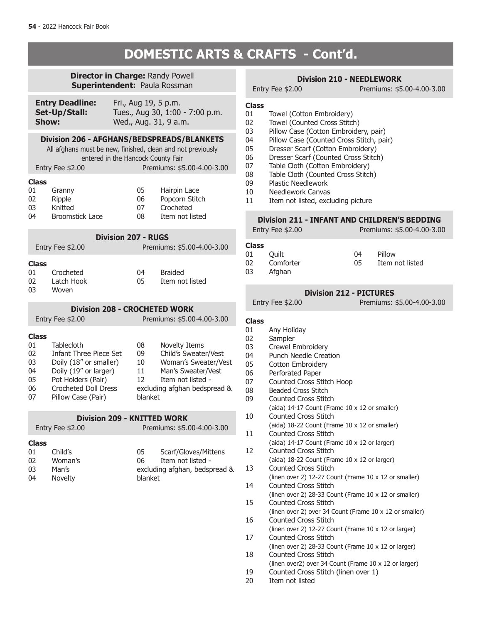# **Director in Charge:** Randy Powell

**Superintendent:** Paula Rossman

| <b>Entry Deadline:</b> | Fri., Aug 19, 5 p.m.            |
|------------------------|---------------------------------|
| Set-Up/Stall:          | Tues., Aug 30, 1:00 - 7:00 p.m. |
| Show:                  | Wed., Aug. 31, 9 a.m.           |

#### **Division 206 - AFGHANS/BEDSPREADS/BLANKETS**

All afghans must be new, finished, clean and not previously entered in the Hancock County Fair

| Entry Fee \$2.00 |                        |    | Premiums: \$5.00-4.00-3.00 |  |
|------------------|------------------------|----|----------------------------|--|
| <b>Class</b>     |                        |    |                            |  |
| 01               | Granny                 | 05 | Hairpin Lace               |  |
| 02               | Ripple                 | 06 | Popcorn Stitch             |  |
| 03               | Knitted                | 07 | Crocheted                  |  |
| 04               | <b>Broomstick Lace</b> | 08 | Item not listed            |  |

|              |                   | <b>Division 207 - RUGS</b> |                            |  |
|--------------|-------------------|----------------------------|----------------------------|--|
|              | Entry Fee $$2.00$ |                            | Premiums: \$5.00-4.00-3.00 |  |
| <b>Class</b> |                   |                            |                            |  |
| 01           | Crocheted         | 04                         | <b>Braided</b>             |  |

| 01 | Crocheted  | 04  | <b>Braided</b>  |
|----|------------|-----|-----------------|
| 02 | Latch Hook | 05. | Item not listed |
| 03 | Woven      |     |                 |

# **Division 208 - CROCHETED WORK**

Entry Fee \$2.00 Premiums: \$5.00-4.00-3.00 **Class Tablecloth** 02 Infant Three Piece Set<br>03 Doily (18" or smaller) 03 Doily (18" or smaller)<br>04 Doily (19" or larger) Doily (19" or larger) 05 Pot Holders (Pair) 06 Crocheted Doll Dress<br>07 Pillow Case (Pair) Pillow Case (Pair) 08 Novelty Items 09 Child's Sweater/Vest<br>10 Woman's Sweater/Ve 10 Woman's Sweater/Vest<br>11 Man's Sweater/Vest Man's Sweater/Vest 12 Item not listed excluding afghan bedspread & blanket

## **Division 209 - KNITTED WORK**

|              | Entry Fee \$2.00 | Premiums: \$5.00-4.00-3.00    |                      |
|--------------|------------------|-------------------------------|----------------------|
| <b>Class</b> |                  |                               |                      |
| 01           | Child's          | 05                            | Scarf/Gloves/Mittens |
| 02           | Woman's          | በ6                            | Item not listed -    |
| 03           | Man's            | excluding afghan, bedspread & |                      |
| 04           | Novelty          | blanket                       |                      |

### **Division 210 - NEEDLEWORK**

Entry Fee \$2.00 Premiums: \$5.00-4.00-3.00

#### **Class**

- 01 Towel (Cotton Embroidery)<br>02 Towel (Counted Cross Stitcl
- Towel (Counted Cross Stitch)
- 03 Pillow Case (Cotton Embroidery, pair)<br>04 Pillow Case (Counted Cross Stitch, pai
- 04 Pillow Case (Counted Cross Stitch, pair)<br>05 Dresser Scarf (Cotton Embroidery)
- Dresser Scarf (Cotton Embroidery)
- 06 Dresser Scarf (Counted Cross Stitch)
- 07 Table Cloth (Cotton Embroidery)<br>08 Table Cloth (Counted Cross Stitcl
- 08 Table Cloth (Counted Cross Stitch)<br>09 Plastic Needlework
- 09 Plastic Needlework<br>10 Needlework Canyas
- 
- 10 Needlework Canvas<br>11 Item not listed, excl Item not listed, excluding picture

### **Division 211 - INFANT AND CHILDREN'S BEDDING**

|                         | Entry Fee \$2.00             | Premiums: \$5.00-4.00-3.00 |                           |
|-------------------------|------------------------------|----------------------------|---------------------------|
| Class<br>01<br>02<br>03 | Ouilt<br>Comforter<br>Afghan | 04<br>05                   | Pillow<br>Item not listed |
|                         |                              |                            |                           |

### **Division 212 - PICTURES**

Entry Fee \$2.00 Premiums: \$5.00-4.00-3.00

# **Class**

- Any Holiday
- 02 Sampler
- 03 Crewel Embroidery<br>04 Punch Needle Creat
- 04 Punch Needle Creation<br>05 Cotton Embroiderv
- Cotton Embroidery
- 06 Perforated Paper<br>07 Counted Cross St
- Counted Cross Stitch Hoop
- 08 Beaded Cross Stitch 09 Counted Cross Stitch
	- (aida) 14-17 Count (Frame 10 x 12 or smaller)
- 10 Counted Cross Stitch (aida) 18-22 Count (Frame 10 x 12 or smaller)
- 11 Counted Cross Stitch (aida) 14-17 Count (Frame 10 x 12 or larger) 12 Counted Cross Stitch
- (aida) 18-22 Count (Frame 10 x 12 or larger) 13 Counted Cross Stitch
- (linen over 2) 12-27 Count (Frame 10 x 12 or smaller)
- 14 Counted Cross Stitch (linen over 2) 28-33 Count (Frame 10 x 12 or smaller) 15 Counted Cross Stitch
- (linen over 2) over 34 Count (Frame 10 x 12 or smaller) 16 Counted Cross Stitch
- (linen over 2) 12-27 Count (Frame 10 x 12 or larger) 17 Counted Cross Stitch
- (linen over 2) 28-33 Count (Frame 10 x 12 or larger) 18 Counted Cross Stitch
- (linen over2) over 34 Count (Frame 10 x 12 or larger)<br>19 Counted Cross Stitch (linen over 1) Counted Cross Stitch (linen over 1)
- 
- 20 Item not listed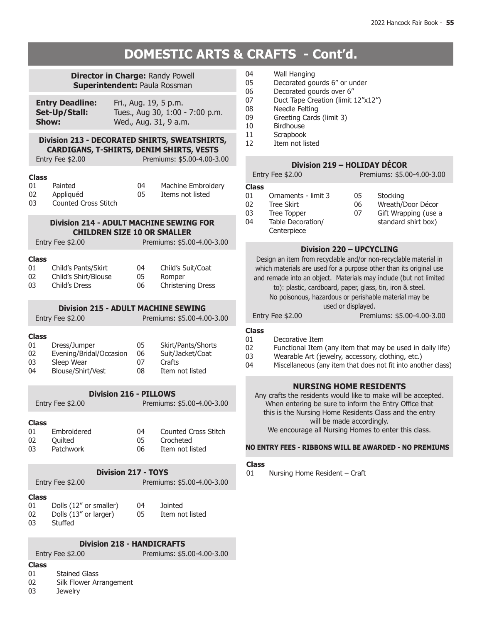| <b>Director in Charge: Randy Powell</b><br><b>Superintendent: Paula Rossman</b>                                                                    |                                                                            |  |                      |                                                                     |
|----------------------------------------------------------------------------------------------------------------------------------------------------|----------------------------------------------------------------------------|--|----------------------|---------------------------------------------------------------------|
| <b>Entry Deadline:</b><br>Fri., Aug. 19, 5 p.m.<br>Tues., Aug 30, 1:00 - 7:00 p.m.<br>Set-Up/Stall:<br>Wed., Aug. 31, 9 a.m.<br>Show:              |                                                                            |  |                      |                                                                     |
| Division 213 - DECORATED SHIRTS, SWEATSHIRTS,<br><b>CARDIGANS, T-SHIRTS, DENIM SHIRTS, VESTS</b><br>Premiums: \$5.00-4.00-3.00<br>Entry Fee \$2.00 |                                                                            |  |                      |                                                                     |
| <b>Class</b><br>01<br>02<br>03                                                                                                                     | Painted<br>Appliquéd<br><b>Counted Cross Stitch</b>                        |  | 04 -<br>05           | <b>Machine Embroidery</b><br>Items not listed                       |
| <b>Division 214 - ADULT MACHINE SEWING FOR</b><br><b>CHILDREN SIZE 10 OR SMALLER</b><br>Entry Fee \$2.00<br>Premiums: \$5.00-4.00-3.00             |                                                                            |  |                      |                                                                     |
| <b>Class</b><br>01<br>02<br>03 -                                                                                                                   | Child's Pants/Skirt<br>Child's Shirt/Blouse<br>Child's Dress               |  | 04<br>05<br>06       | Child's Suit/Coat<br>Romper<br><b>Christening Dress</b>             |
| <b>Division 215 - ADULT MACHINE SEWING</b><br>Entry Fee \$2.00<br>Premiums: \$5.00-4.00-3.00                                                       |                                                                            |  |                      |                                                                     |
| <b>Class</b><br>01<br>02<br>03<br>04                                                                                                               | Dress/Jumper<br>Evening/Bridal/Occasion<br>Sleep Wear<br>Blouse/Shirt/Vest |  | 05<br>06<br>07<br>08 | Skirt/Pants/Shorts<br>Suit/Jacket/Coat<br>Crafts<br>Item not listed |
| <b>Division 216 - PILLOWS</b><br>Entry Fee \$2.00<br>Premiums: \$5.00-4.00-3.00                                                                    |                                                                            |  |                      |                                                                     |
| <b>Class</b><br>01<br>$02\,$<br>03                                                                                                                 | Embroidered<br>Quilted<br>Patchwork                                        |  | 04  <br>05<br>06     | <b>Counted Cross Stitch</b><br>Crocheted<br>Item not listed         |
| <b>Division 217 - TOYS</b><br>Premiums: \$5.00-4.00-3.00<br>Entry Fee \$2.00                                                                       |                                                                            |  |                      |                                                                     |
| <b>Class</b><br>01<br>02<br>03                                                                                                                     | Dolls (12" or smaller)<br>Dolls (13" or larger)<br>Stuffed                 |  | 04<br>05             | Jointed<br>Item not listed                                          |
| <b>Division 218 - HANDICRAFTS</b>                                                                                                                  |                                                                            |  |                      |                                                                     |

Entry Fee \$2.00 Premiums: \$5.00-4.00-3.00

## 04 Wall Hanging<br>05 Decorated go 05 Decorated gourds 6" or under<br>06 Decorated gourds over 6" 06 Decorated gourds over 6"<br>07 Duct Tape Creation (limit) 07 Duct Tape Creation (limit 12"x12")<br>08 Needle Felting 08 Needle Felting<br>09 Greeting Cards

- Greeting Cards (limit 3)
- 10 Birdhouse
- 11 Scrapbook<br>12 Item not lis
	- Item not listed

# **Division 219 – HOLIDAY DÉCOR**

|              | Entry Fee \$2.00                 |    | Premiums: \$5.00-4.00-3.00 |
|--------------|----------------------------------|----|----------------------------|
| <b>Class</b> |                                  |    |                            |
| 01           | Ornaments - limit 3              | 05 | Stocking                   |
| 02           | Tree Skirt                       | 06 | Wreath/Door Décor          |
| 03           | Tree Topper                      | 07 | Gift Wrapping (use a       |
| 04           | Table Decoration/<br>Centerpiece |    | standard shirt box)        |

### **Division 220 – UPCYCLING**

Design an item from recyclable and/or non-recyclable material in which materials are used for a purpose other than its original use and remade into an object. Materials may include (but not limited to): plastic, cardboard, paper, glass, tin, iron & steel. No poisonous, hazardous or perishable material may be used or displayed. Entry Fee \$2.00 Premiums: \$5.00-4.00-3.00

- **Class** 01 Decorative Item<br>02 Functional Item
- Functional Item (any item that may be used in daily life)
- 03 Wearable Art (jewelry, accessory, clothing, etc.)<br>04 Miscellaneous (any item that does not fit into anot
- Miscellaneous (any item that does not fit into another class)

### **NURSING HOME RESIDENTS**

Any crafts the residents would like to make will be accepted. When entering be sure to inform the Entry Office that this is the Nursing Home Residents Class and the entry will be made accordingly. We encourage all Nursing Homes to enter this class.

#### **NO ENTRY FEES - RIBBONS WILL BE AWARDED - NO PREMIUMS**

#### **Class**

01 Nursing Home Resident – Craft

- **Class**
- 01 Stained Glass<br>02 Silk Flower Ari
- Silk Flower Arrangement
- 03 Jewelry